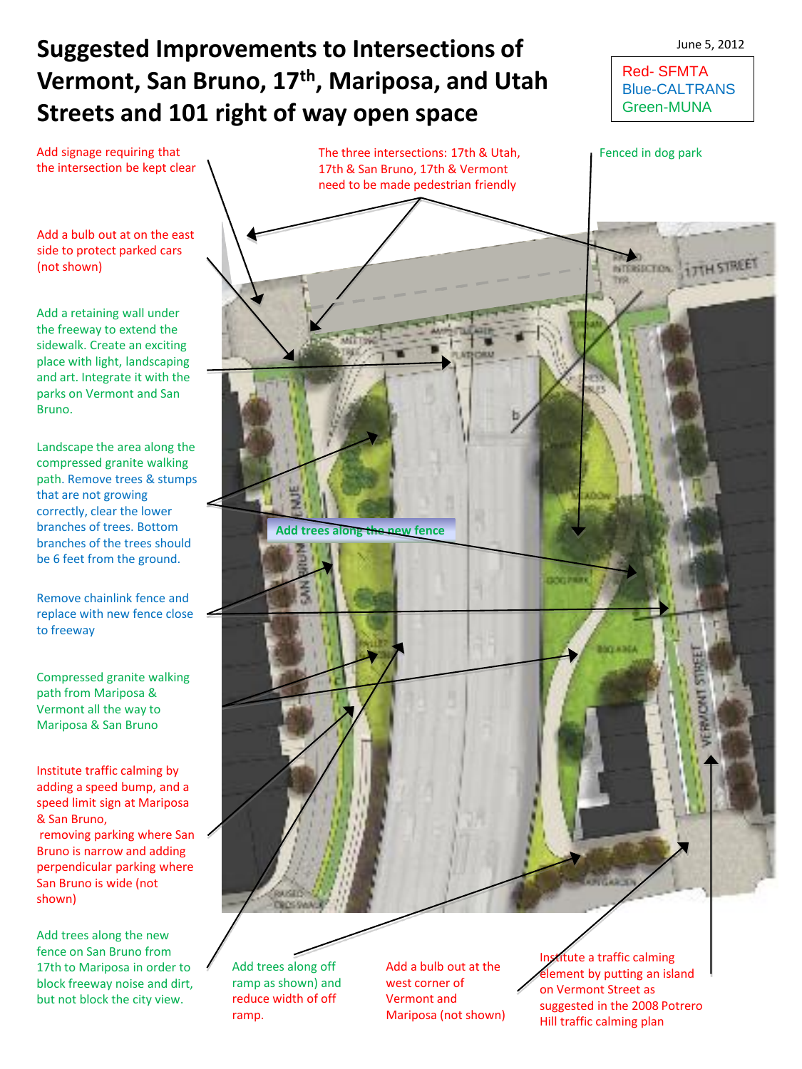## **Suggested Improvements to Intersections of Vermont, San Bruno, 17th, Mariposa, and Utah Streets and 101 right of way open space**

Red- SFMTA Blue-CALTRANS Green-MUNA

June 5, 2012

Add a bulb out at on the east side to protect parked cars

Add signage requiring that the intersection be kept clear

(not shown)

Add a retaining wall under the freeway to extend the sidewalk. Create an exciting place with light, landscaping and art. Integrate it with the parks on Vermont and San Bruno.

Landscape the area along the compressed granite walking path. Remove trees & stumps that are not growing correctly, clear the lower branches of trees. Bottom branches of the trees should be 6 feet from the ground.

Remove chainlink fence and replace with new fence close to freeway

Compressed granite walking path from Mariposa & Vermont all the way to Mariposa & San Bruno

Institute traffic calming by adding a speed bump, and a speed limit sign at Mariposa & San Bruno, removing parking where San

Bruno is narrow and adding perpendicular parking where San Bruno is wide (not shown)

Add trees along the new fence on San Bruno from 17th to Mariposa in order to block freeway noise and dirt, but not block the city view.